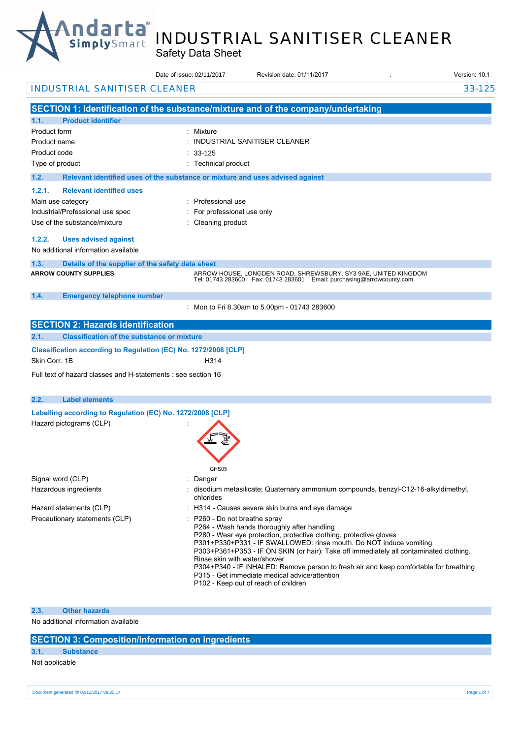

# INDUSTRIAL SANITISER CLEANER

Safety Data Sheet

|                                                                 | Date of issue: 02/11/2017                                                     | Revision date: 01/11/2017                                                                                                                                                                                                                                                                                                                                                                                                                                           | Version: 10.1 |
|-----------------------------------------------------------------|-------------------------------------------------------------------------------|---------------------------------------------------------------------------------------------------------------------------------------------------------------------------------------------------------------------------------------------------------------------------------------------------------------------------------------------------------------------------------------------------------------------------------------------------------------------|---------------|
| <b>INDUSTRIAL SANITISER CLEANER</b>                             |                                                                               |                                                                                                                                                                                                                                                                                                                                                                                                                                                                     | 33-125        |
|                                                                 |                                                                               | SECTION 1: Identification of the substance/mixture and of the company/undertaking                                                                                                                                                                                                                                                                                                                                                                                   |               |
| 1.1.<br><b>Product identifier</b>                               |                                                                               |                                                                                                                                                                                                                                                                                                                                                                                                                                                                     |               |
| Product form                                                    | : Mixture                                                                     |                                                                                                                                                                                                                                                                                                                                                                                                                                                                     |               |
| Product name                                                    |                                                                               | : INDUSTRIAL SANITISER CLEANER                                                                                                                                                                                                                                                                                                                                                                                                                                      |               |
| Product code                                                    | $: 33-125$                                                                    |                                                                                                                                                                                                                                                                                                                                                                                                                                                                     |               |
| Type of product                                                 | : Technical product                                                           |                                                                                                                                                                                                                                                                                                                                                                                                                                                                     |               |
| 1.2.                                                            | Relevant identified uses of the substance or mixture and uses advised against |                                                                                                                                                                                                                                                                                                                                                                                                                                                                     |               |
| 1.2.1.<br><b>Relevant identified uses</b>                       |                                                                               |                                                                                                                                                                                                                                                                                                                                                                                                                                                                     |               |
| Main use category                                               | : Professional use                                                            |                                                                                                                                                                                                                                                                                                                                                                                                                                                                     |               |
| Industrial/Professional use spec                                | For professional use only                                                     |                                                                                                                                                                                                                                                                                                                                                                                                                                                                     |               |
| Use of the substance/mixture                                    | : Cleaning product                                                            |                                                                                                                                                                                                                                                                                                                                                                                                                                                                     |               |
| 1.2.2.<br><b>Uses advised against</b>                           |                                                                               |                                                                                                                                                                                                                                                                                                                                                                                                                                                                     |               |
| No additional information available                             |                                                                               |                                                                                                                                                                                                                                                                                                                                                                                                                                                                     |               |
| 1.3.<br>Details of the supplier of the safety data sheet        |                                                                               |                                                                                                                                                                                                                                                                                                                                                                                                                                                                     |               |
| <b>ARROW COUNTY SUPPLIES</b>                                    |                                                                               | ARROW HOUSE, LONGDEN ROAD, SHREWSBURY, SY3 9AE, UNITED KINGDOM<br>Tel: 01743 283600    Fax: 01743 283601    Email: purchasing@arrowcounty.com                                                                                                                                                                                                                                                                                                                       |               |
| 1.4.<br><b>Emergency telephone number</b>                       |                                                                               | Mon to Fri 8.30am to 5.00pm - 01743 283600                                                                                                                                                                                                                                                                                                                                                                                                                          |               |
| <b>SECTION 2: Hazards identification</b>                        |                                                                               |                                                                                                                                                                                                                                                                                                                                                                                                                                                                     |               |
| 2.1.<br><b>Classification of the substance or mixture</b>       |                                                                               |                                                                                                                                                                                                                                                                                                                                                                                                                                                                     |               |
| Classification according to Regulation (EC) No. 1272/2008 [CLP] |                                                                               |                                                                                                                                                                                                                                                                                                                                                                                                                                                                     |               |
| Skin Corr. 1B                                                   | H314                                                                          |                                                                                                                                                                                                                                                                                                                                                                                                                                                                     |               |
| Full text of hazard classes and H-statements : see section 16   |                                                                               |                                                                                                                                                                                                                                                                                                                                                                                                                                                                     |               |
| 2.2.<br><b>Label elements</b>                                   |                                                                               |                                                                                                                                                                                                                                                                                                                                                                                                                                                                     |               |
| Labelling according to Regulation (EC) No. 1272/2008 [CLP]      |                                                                               |                                                                                                                                                                                                                                                                                                                                                                                                                                                                     |               |
| Hazard pictograms (CLP)                                         | GHS05                                                                         |                                                                                                                                                                                                                                                                                                                                                                                                                                                                     |               |
| Signal word (CLP)                                               | Danger                                                                        |                                                                                                                                                                                                                                                                                                                                                                                                                                                                     |               |
| Hazardous ingredients                                           | chlorides                                                                     | : disodium metasilicate; Quaternary ammonium compounds, benzyl-C12-16-alkyldimethyl,                                                                                                                                                                                                                                                                                                                                                                                |               |
| Hazard statements (CLP)                                         |                                                                               | : H314 - Causes severe skin burns and eye damage                                                                                                                                                                                                                                                                                                                                                                                                                    |               |
| Precautionary statements (CLP)                                  | P260 - Do not breathe spray<br>Rinse skin with water/shower                   | P264 - Wash hands thoroughly after handling<br>P280 - Wear eye protection, protective clothing, protective gloves<br>P301+P330+P331 - IF SWALLOWED: rinse mouth. Do NOT induce vomiting<br>P303+P361+P353 - IF ON SKIN (or hair): Take off immediately all contaminated clothing.<br>P304+P340 - IF INHALED: Remove person to fresh air and keep comfortable for breathing<br>P315 - Get immediate medical advice/attention<br>P102 - Keep out of reach of children |               |

### **2.3. Other hazards**

No additional information available

### **SECTION 3: Composition/information on ingredients**

### **3.1. Substance**

## Not applicable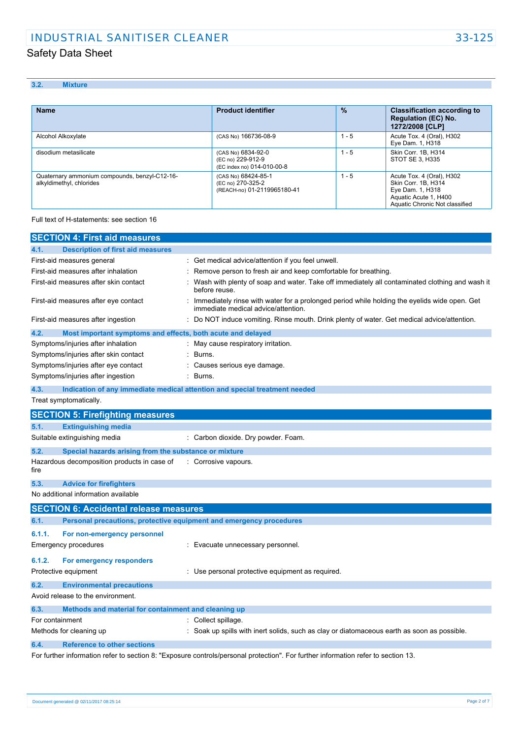## **3.2. Mixture**

| <b>Name</b>                                                               | <b>Product identifier</b>                                               | $\frac{9}{6}$ | <b>Classification according to</b><br><b>Regulation (EC) No.</b><br>1272/2008 [CLP]                                             |
|---------------------------------------------------------------------------|-------------------------------------------------------------------------|---------------|---------------------------------------------------------------------------------------------------------------------------------|
| Alcohol Alkoxylate                                                        | (CAS No) 166736-08-9                                                    | 1 - 5         | Acute Tox. 4 (Oral), H302<br>Eye Dam. 1, H318                                                                                   |
| disodium metasilicate                                                     | (CAS No) 6834-92-0<br>(EC no) 229-912-9<br>(EC index no) 014-010-00-8   | $1 - 5$       | Skin Corr. 1B, H314<br>STOT SE 3, H335                                                                                          |
| Quaternary ammonium compounds, benzyl-C12-16-<br>alkyldimethyl, chlorides | (CAS No) 68424-85-1<br>(EC no) 270-325-2<br>(REACH-no) 01-2119965180-41 | $1 - 5$       | Acute Tox. 4 (Oral), H302<br>Skin Corr. 1B, H314<br>Eye Dam. 1, H318<br>Aquatic Acute 1, H400<br>Aquatic Chronic Not classified |

Full text of H-statements: see section 16

| <b>SECTION 4: First aid measures</b>                                               |                                                                                                                                     |
|------------------------------------------------------------------------------------|-------------------------------------------------------------------------------------------------------------------------------------|
| <b>Description of first aid measures</b><br>4.1.                                   |                                                                                                                                     |
| First-aid measures general                                                         | : Get medical advice/attention if you feel unwell.                                                                                  |
| First-aid measures after inhalation                                                | Remove person to fresh air and keep comfortable for breathing.                                                                      |
| First-aid measures after skin contact                                              | Wash with plenty of soap and water. Take off immediately all contaminated clothing and wash it<br>before reuse.                     |
| First-aid measures after eye contact                                               | Immediately rinse with water for a prolonged period while holding the eyelids wide open. Get<br>immediate medical advice/attention. |
| First-aid measures after ingestion                                                 | : Do NOT induce vomiting. Rinse mouth. Drink plenty of water. Get medical advice/attention.                                         |
| 4.2.<br>Most important symptoms and effects, both acute and delayed                |                                                                                                                                     |
| Symptoms/injuries after inhalation                                                 | : May cause respiratory irritation.                                                                                                 |
| Symptoms/injuries after skin contact                                               | Burns.                                                                                                                              |
| Symptoms/injuries after eye contact                                                | Causes serious eye damage.                                                                                                          |
| Symptoms/injuries after ingestion                                                  | Burns.                                                                                                                              |
| 4.3.<br>Indication of any immediate medical attention and special treatment needed |                                                                                                                                     |
| Treat symptomatically.                                                             |                                                                                                                                     |
| <b>SECTION 5: Firefighting measures</b>                                            |                                                                                                                                     |
| <b>Extinguishing media</b><br>5.1.                                                 |                                                                                                                                     |
| Suitable extinguishing media                                                       | : Carbon dioxide. Dry powder. Foam.                                                                                                 |
| 5.2.<br>Special hazards arising from the substance or mixture                      |                                                                                                                                     |
| Hazardous decomposition products in case of<br>fire                                | Corrosive vapours.                                                                                                                  |
| 5.3.<br><b>Advice for firefighters</b>                                             |                                                                                                                                     |
| No additional information available                                                |                                                                                                                                     |
| <b>SECTION 6: Accidental release measures</b>                                      |                                                                                                                                     |
| Personal precautions, protective equipment and emergency procedures<br>6.1.        |                                                                                                                                     |
| 6.1.1.<br>For non-emergency personnel                                              |                                                                                                                                     |
| <b>Emergency procedures</b>                                                        | Evacuate unnecessary personnel.                                                                                                     |
| 6.1.2.<br>For emergency responders                                                 |                                                                                                                                     |
| Protective equipment                                                               | : Use personal protective equipment as required.                                                                                    |
| 6.2.<br><b>Environmental precautions</b>                                           |                                                                                                                                     |
| Avoid release to the environment.                                                  |                                                                                                                                     |
| Methods and material for containment and cleaning up<br>6.3.                       |                                                                                                                                     |
| For containment                                                                    | : Collect spillage.                                                                                                                 |
| Methods for cleaning up                                                            | Soak up spills with inert solids, such as clay or diatomaceous earth as soon as possible.                                           |
| <b>Reference to other sections</b><br>6.4.                                         |                                                                                                                                     |
|                                                                                    | For further information refer to section 8: "Exposure controls/personal protection". For further information refer to section 13.   |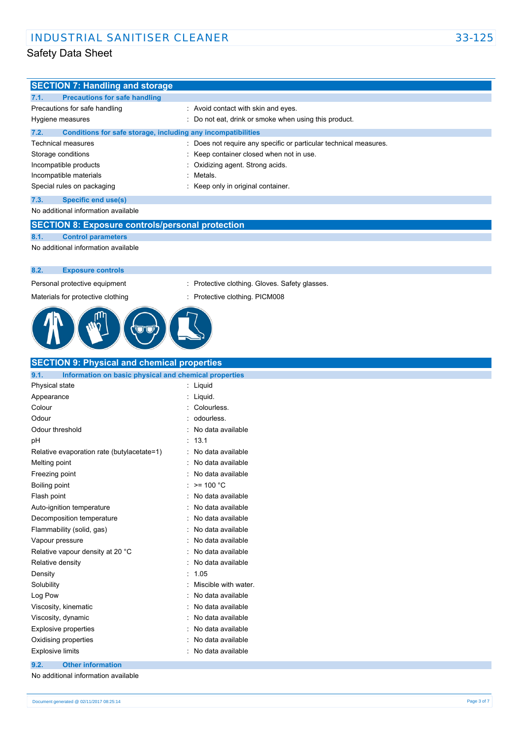| <b>SECTION 7: Handling and storage</b>                               |                                                                 |
|----------------------------------------------------------------------|-----------------------------------------------------------------|
| 7.1.<br><b>Precautions for safe handling</b>                         |                                                                 |
| Precautions for safe handling                                        | : Avoid contact with skin and eyes.                             |
| Hygiene measures                                                     | Do not eat, drink or smoke when using this product.             |
| 7.2.<br>Conditions for safe storage, including any incompatibilities |                                                                 |
| Technical measures                                                   | Does not require any specific or particular technical measures. |
| Storage conditions                                                   | Keep container closed when not in use.                          |
| Incompatible products                                                | Oxidizing agent. Strong acids.                                  |
| Incompatible materials                                               | Metals.                                                         |
| Special rules on packaging                                           | Keep only in original container.                                |
| 7.3.<br><b>Specific end use(s)</b>                                   |                                                                 |
| No additional information available                                  |                                                                 |
| <b>SECTION 8: Exposure controls/personal protection</b>              |                                                                 |
| 8.1.<br><b>Control parameters</b>                                    |                                                                 |
| No additional information available                                  |                                                                 |
|                                                                      |                                                                 |
| 8.2.<br><b>Exposure controls</b>                                     |                                                                 |
| Personal protective equipment                                        | Protective clothing. Gloves. Safety glasses.<br>÷.              |
| Materials for protective clothing                                    | Protective clothing. PICM008                                    |
|                                                                      |                                                                 |
| <b>SECTION 9: Physical and chemical properties</b>                   |                                                                 |
| 9.1.<br>Information on basic physical and chemical properties        |                                                                 |
| Physical state                                                       | : Liquid                                                        |
| Appearance                                                           | Liquid.                                                         |
| Colour                                                               | Colourless.                                                     |
| Odour                                                                | odourless.                                                      |
| Odour threshold                                                      | No data available                                               |
| рH<br>Relative evaporation rate (butylacetate=1)                     | 13.1<br>No data available                                       |
| Melting point                                                        | No data available                                               |
| Freezing point                                                       | No data available                                               |
| Boiling point                                                        | : >= 100 °C                                                     |
| Flash point                                                          | No data available                                               |
| Auto-ignition temperature                                            | No data available                                               |
| Decomposition temperature                                            | No data available                                               |
| Flammability (solid, gas)                                            | No data available                                               |
| Vapour pressure                                                      | No data available                                               |
| Relative vapour density at 20 °C                                     | No data available                                               |
| Relative density                                                     | No data available                                               |
| Density                                                              | 1.05                                                            |
| Solubility                                                           | Miscible with water.                                            |
| Log Pow                                                              | No data available                                               |
| Viscosity, kinematic                                                 | No data available                                               |
| Viscosity, dynamic                                                   | No data available                                               |
| <b>Explosive properties</b>                                          | No data available                                               |
| Oxidising properties                                                 | No data available                                               |
| <b>Explosive limits</b>                                              | No data available                                               |
| <b>Other information</b><br>9.2.                                     |                                                                 |
|                                                                      |                                                                 |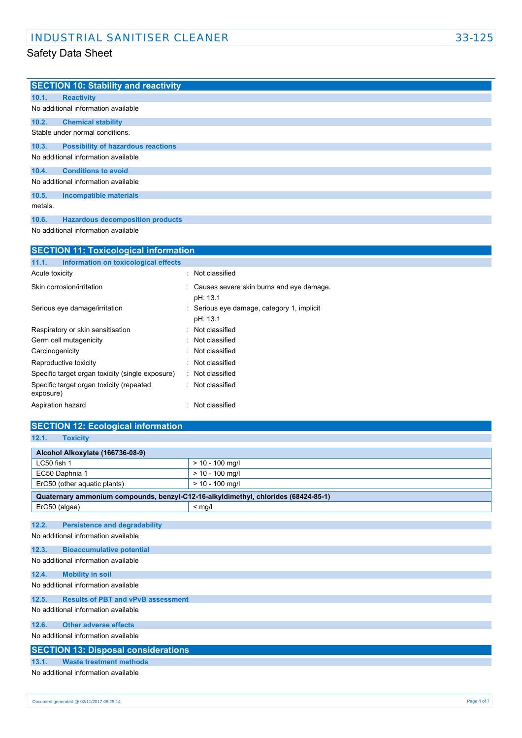|         | <b>SECTION 10: Stability and reactivity</b> |
|---------|---------------------------------------------|
| 10.1.   | <b>Reactivity</b>                           |
|         | No additional information available         |
| 10.2.   | <b>Chemical stability</b>                   |
|         | Stable under normal conditions.             |
| 10.3.   | <b>Possibility of hazardous reactions</b>   |
|         | No additional information available         |
| 10.4.   | <b>Conditions to avoid</b>                  |
|         | No additional information available         |
| 10.5.   | <b>Incompatible materials</b>               |
| metals. |                                             |
| 10.6.   | <b>Hazardous decomposition products</b>     |

No additional information available

| <b>SECTION 11: Toxicological information</b>          |                                                        |  |
|-------------------------------------------------------|--------------------------------------------------------|--|
| 11.1.<br>Information on toxicological effects         |                                                        |  |
| Acute toxicity                                        | : Not classified                                       |  |
| Skin corrosion/irritation                             | : Causes severe skin burns and eye damage.<br>pH: 13.1 |  |
| Serious eye damage/irritation                         | : Serious eye damage, category 1, implicit<br>pH: 13.1 |  |
| Respiratory or skin sensitisation                     | : Not classified                                       |  |
| Germ cell mutagenicity                                | : Not classified                                       |  |
| Carcinogenicity                                       | Not classified                                         |  |
| Reproductive toxicity                                 | : Not classified                                       |  |
| Specific target organ toxicity (single exposure)      | : Not classified                                       |  |
| Specific target organ toxicity (repeated<br>exposure) | : Not classified                                       |  |
| Aspiration hazard                                     | : Not classified                                       |  |

### **SECTION 12: Ecological information 12.1. Toxicity**

| Alcohol Alkoxylate (166736-08-9)                                                   |                   |  |
|------------------------------------------------------------------------------------|-------------------|--|
| LC50 fish 1                                                                        | $> 10 - 100$ mg/l |  |
| EC50 Daphnia 1                                                                     | $> 10 - 100$ mg/l |  |
| ErC50 (other aquatic plants)                                                       | $> 10 - 100$ mg/l |  |
| Quaternary ammonium compounds, benzyl-C12-16-alkyldimethyl, chlorides (68424-85-1) |                   |  |
| ErC50 (algae)                                                                      | $<$ mg/l          |  |
|                                                                                    |                   |  |
| 12.2.<br><b>Persistence and degradability</b>                                      |                   |  |
| No additional information available                                                |                   |  |
| 12.3.<br><b>Bioaccumulative potential</b>                                          |                   |  |
| No additional information available                                                |                   |  |
| 12.4.<br><b>Mobility in soil</b>                                                   |                   |  |
| No additional information available                                                |                   |  |
| 12.5.<br><b>Results of PBT and vPvB assessment</b>                                 |                   |  |
| No additional information available                                                |                   |  |
| <b>Other adverse effects</b><br>12.6.                                              |                   |  |
| No additional information available                                                |                   |  |
| <b>SECTION 13: Disposal considerations</b>                                         |                   |  |
| <b>Waste treatment methods</b><br>13.1.                                            |                   |  |
| No additional information available                                                |                   |  |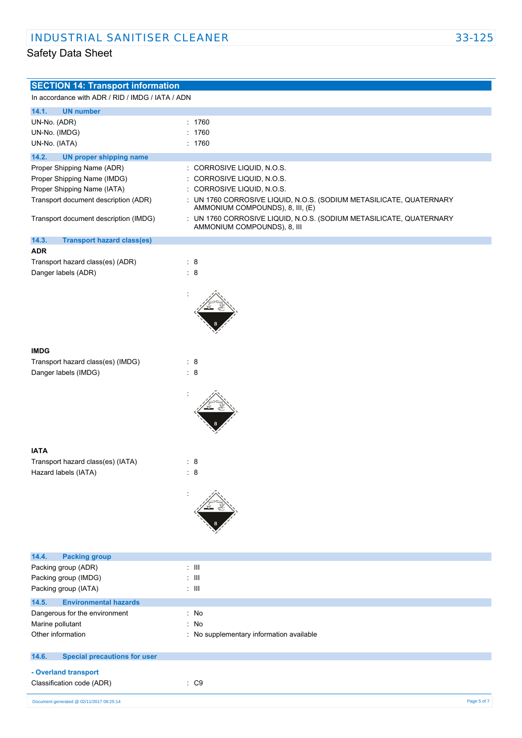| <b>SECTION 14: Transport information</b>         |                                                                                                         |
|--------------------------------------------------|---------------------------------------------------------------------------------------------------------|
| In accordance with ADR / RID / IMDG / IATA / ADN |                                                                                                         |
| 14.1.<br><b>UN number</b>                        |                                                                                                         |
| UN-No. (ADR)                                     | : 1760                                                                                                  |
| UN-No. (IMDG)                                    | : 1760                                                                                                  |
| UN-No. (IATA)                                    | : 1760                                                                                                  |
|                                                  |                                                                                                         |
| 14.2.<br><b>UN proper shipping name</b>          |                                                                                                         |
| Proper Shipping Name (ADR)                       | : CORROSIVE LIQUID, N.O.S.                                                                              |
| Proper Shipping Name (IMDG)                      | CORROSIVE LIQUID, N.O.S.<br>÷                                                                           |
| Proper Shipping Name (IATA)                      | CORROSIVE LIQUID, N.O.S.<br>÷                                                                           |
| Transport document description (ADR)             | : UN 1760 CORROSIVE LIQUID, N.O.S. (SODIUM METASILICATE, QUATERNARY<br>AMMONIUM COMPOUNDS), 8, III, (E) |
| Transport document description (IMDG)            | : UN 1760 CORROSIVE LIQUID, N.O.S. (SODIUM METASILICATE, QUATERNARY                                     |
|                                                  | AMMONIUM COMPOUNDS), 8, III                                                                             |
| 14.3.<br><b>Transport hazard class(es)</b>       |                                                                                                         |
| <b>ADR</b>                                       |                                                                                                         |
| Transport hazard class(es) (ADR)                 | $\therefore$ 8                                                                                          |
| Danger labels (ADR)                              | $\therefore$ 8                                                                                          |
|                                                  |                                                                                                         |
|                                                  |                                                                                                         |
|                                                  |                                                                                                         |
|                                                  |                                                                                                         |
|                                                  |                                                                                                         |
|                                                  |                                                                                                         |
|                                                  |                                                                                                         |
| <b>IMDG</b>                                      |                                                                                                         |
| Transport hazard class(es) (IMDG)                | : 8                                                                                                     |
| Danger labels (IMDG)                             | $\therefore$ 8                                                                                          |
|                                                  |                                                                                                         |
|                                                  |                                                                                                         |
|                                                  |                                                                                                         |
|                                                  |                                                                                                         |
|                                                  |                                                                                                         |
|                                                  |                                                                                                         |
| <b>IATA</b>                                      |                                                                                                         |
| Transport hazard class(es) (IATA)                | $\therefore$ 8                                                                                          |
| Hazard labels (IATA)                             | 8                                                                                                       |
|                                                  |                                                                                                         |
|                                                  |                                                                                                         |
|                                                  |                                                                                                         |
|                                                  |                                                                                                         |
|                                                  |                                                                                                         |
|                                                  |                                                                                                         |
|                                                  |                                                                                                         |
| <b>Packing group</b><br>14.4.                    |                                                                                                         |
| Packing group (ADR)                              | $\pm$ 111                                                                                               |
| Packing group (IMDG)                             | $\pm$ III                                                                                               |
| Packing group (IATA)                             | $\pm$ III                                                                                               |
| 14.5.<br><b>Environmental hazards</b>            |                                                                                                         |
| Dangerous for the environment                    | $:$ No                                                                                                  |
| Marine pollutant                                 | : No                                                                                                    |
| Other information                                | : No supplementary information available                                                                |
|                                                  |                                                                                                         |
| <b>Special precautions for user</b><br>14.6.     |                                                                                                         |
| - Overland transport                             |                                                                                                         |
| Classification code (ADR)                        | $\therefore$ C9                                                                                         |
|                                                  |                                                                                                         |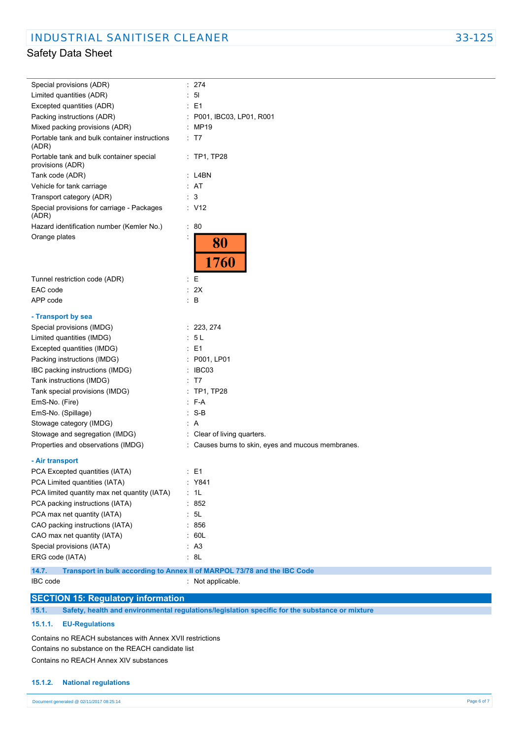| Special provisions (ADR)                                     | : 274                                                                                         |
|--------------------------------------------------------------|-----------------------------------------------------------------------------------------------|
| Limited quantities (ADR)                                     | 51                                                                                            |
| Excepted quantities (ADR)                                    | E1                                                                                            |
| Packing instructions (ADR)                                   | : P001, IBC03, LP01, R001                                                                     |
| Mixed packing provisions (ADR)                               | : MP19                                                                                        |
| Portable tank and bulk container instructions<br>(ADR)       | : T7                                                                                          |
| Portable tank and bulk container special<br>provisions (ADR) | $:$ TP1, TP28                                                                                 |
| Tank code (ADR)                                              | : L4BN                                                                                        |
| Vehicle for tank carriage                                    | : AT                                                                                          |
| Transport category (ADR)                                     | $\therefore$ 3                                                                                |
| Special provisions for carriage - Packages<br>(ADR)          | : V12                                                                                         |
| Hazard identification number (Kemler No.)                    | $\therefore 80$                                                                               |
| Orange plates                                                | 80<br>1760                                                                                    |
| Tunnel restriction code (ADR)                                | ÷Ε                                                                                            |
| EAC code                                                     | : 2X                                                                                          |
| APP code                                                     | $\therefore$ B                                                                                |
|                                                              |                                                                                               |
| - Transport by sea                                           |                                                                                               |
| Special provisions (IMDG)                                    | : 223, 274                                                                                    |
| Limited quantities (IMDG)                                    | 5 L                                                                                           |
| Excepted quantities (IMDG)                                   | E1                                                                                            |
| Packing instructions (IMDG)                                  | P001, LP01                                                                                    |
| IBC packing instructions (IMDG)                              | IBC03                                                                                         |
| Tank instructions (IMDG)                                     | T7                                                                                            |
| Tank special provisions (IMDG)                               | TP1, TP28                                                                                     |
| EmS-No. (Fire)                                               | $-F-A$                                                                                        |
| EmS-No. (Spillage)                                           | $\cdot$ S-B                                                                                   |
| Stowage category (IMDG)                                      | : A                                                                                           |
| Stowage and segregation (IMDG)                               | : Clear of living quarters.                                                                   |
| Properties and observations (IMDG)                           | : Causes burns to skin, eyes and mucous membranes.                                            |
| - Air transport                                              |                                                                                               |
| PCA Excepted quantities (IATA)                               | $\therefore$ E1                                                                               |
| PCA Limited quantities (IATA)                                | : Y841                                                                                        |
| PCA limited quantity max net quantity (IATA)                 | $\therefore$ 1L                                                                               |
| PCA packing instructions (IATA)                              | : 852                                                                                         |
| PCA max net quantity (IATA)                                  | $\therefore$ 5L                                                                               |
| CAO packing instructions (IATA)                              | : 856                                                                                         |
| CAO max net quantity (IATA)                                  | $\therefore$ 60L                                                                              |
| Special provisions (IATA)                                    | AA3                                                                                           |
| ERG code (IATA)                                              | : 8L                                                                                          |
|                                                              |                                                                                               |
| 14.7.<br>IBC code                                            | Transport in bulk according to Annex II of MARPOL 73/78 and the IBC Code<br>: Not applicable. |
|                                                              |                                                                                               |
| <b>SECTION 15: Regulatory information</b>                    |                                                                                               |

**15.1. Safety, health and environmental regulations/legislation specific for the substance or mixture**

### **15.1.1. EU-Regulations**

Contains no REACH substances with Annex XVII restrictions Contains no substance on the REACH candidate list Contains no REACH Annex XIV substances

### **15.1.2. National regulations**